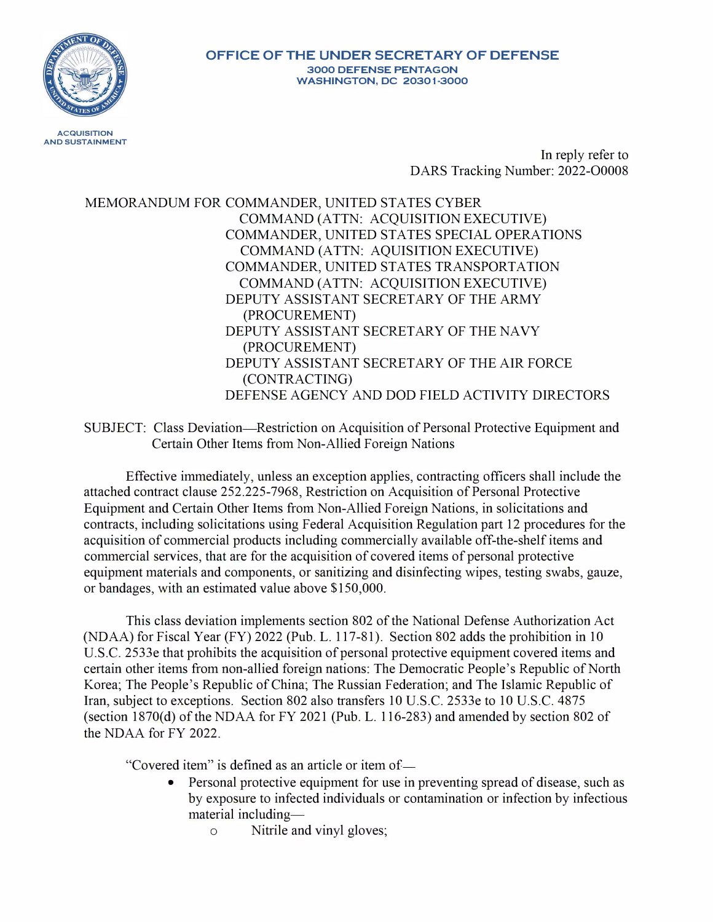

In reply refer to DARS Tracking Number: 2022-00008

MEMORANDUM FOR COMMANDER, UNITED STATES CYBER COMMAND (ATTN: ACQUISITION EXECUTIVE) COMMANDER, UNITED STATES SPECIAL OPERATIONS COMMAND (ATTN: AQUISITION EXECUTIVE) COMMANDER, UNITED STATES TRANSPORTATION COMMAND (ATTN: ACQUISITION EXECUTIVE) DEPUTY ASSISTANT SECRETARY OF THE ARMY (PROCUREMENT) DEPUTY ASSISTANT SECRETARY OF THE NAVY (PROCUREMENT) DEPUTY ASSISTANT SECRETARY OF THE AIR FORCE (CONTRACTING) DEFENSE AGENCY AND DOD FIELD ACTIVITY DIRECTORS

SUBJECT: Class Deviation—Restriction on Acquisition of Personal Protective Equipment and Certain Other Items from Non-Allied Foreign Nations

Effective immediately, unless an exception applies, contracting officers shall include the attached contract clause 252.225-7968, Restriction on Acquisition of Personal Protective Equipment and Certain Other Items from Non-Allied Foreign Nations, in solicitations and contracts, including solicitations using Federal Acquisition Regulation part 12 procedures for the acquisition of commercial products including commercially available off-the-shelf items and commercial services, that are for the acquisition of covered items of personal protective equipment materials and components, or sanitizing and disinfecting wipes, testing swabs, gauze, or bandages, with an estimated value above \$150,000.

This class deviation implements section 802 of the National Defense Authorization Act (NDAA) for Fiscal Year (FY) 2022 (Pub. L. 117-81). Section 802 adds the prohibition in 10 U.S.C. 2533e that prohibits the acquisition of personal protective equipment covered items and certain other items from non-allied foreign nations: The Democratic People's Republic of North Korea; The People's Republic of China; The Russian Federation; and The Islamic Republic of Iran, subject to exceptions. Section 802 also transfers 10 U.S.C. 2533e to 10 U.S.C. 4875 (section 1870(d) of the NDAA for FY 2021 (Pub. L. 116-283) and amended by section 802 of the NDAA for FY 2022.

"Covered item" is defined as an article or item of

- Personal protective equipment for use in preventing spread of disease, such as by exposure to infected individuals or contamination or infection by infectious material including
	- o Nitrile and vinyl gloves;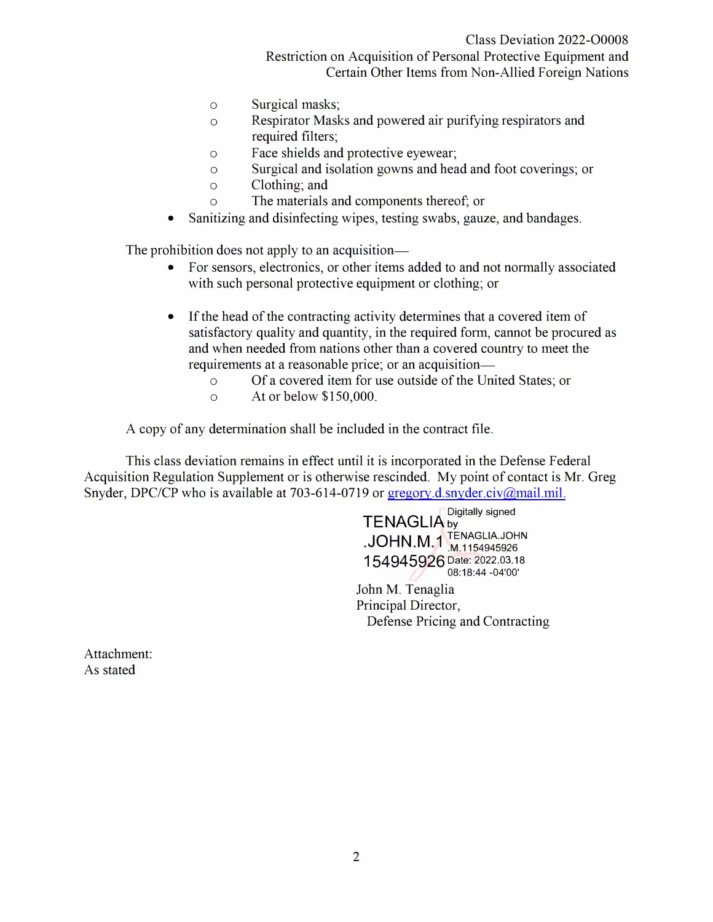Restriction on Acquisition of Personal Protective Equipment and Certain Other Items from Non-Allied Foreign Nations

- o Surgical masks;
- o Respirator Masks and powered air purifying respirators and required filters;
- o Face shields and protective eyewear;
- o Surgical and isolation gowns and head and foot coverings; or
- o Clothing; and
- o The materials and components thereof; or
- Sanitizing and disinfecting wipes, testing swabs, gauze, and bandages.

The prohibition does not apply to an acquisition

- For sensors, electronics, or other items added to and not normally associated with such personal protective equipment or clothing; or
- If the head of the contracting activity determines that a covered item of satisfactory quality and quantity, in the required form, cannot be procured as and when needed from nations other than a covered country to meet the requirements at a reasonable price; or an acquisition
	- o Of a covered item for use outside of the United States; or
	- o At or below \$150,000.

A copy of any determination shall be included in the contract file.

This class deviation remains in effect until it is incorporated in the Defense Federal Acquisition Regulation Supplement or is otherwise rescinded. My point of contact is Mr. Greg Snyder, DPC/CP who is available at 703-614-0719 or gregory.d.snyder.civ@mail.mil.

> Digitally signed **TENAGLIA** by  $\mathrm{JOHN}$  M, 1  $\mathrm{L}_{\mathrm{M},1154945926}^{\mathrm{TENAGLIA}\, \mathrm{JOHN}}$ **154945926** Date: 2022.03.18 08:18:44 -04'00'

John M. Tenaglia Principal Director, Defense Pricing and Contracting

Attachment: As stated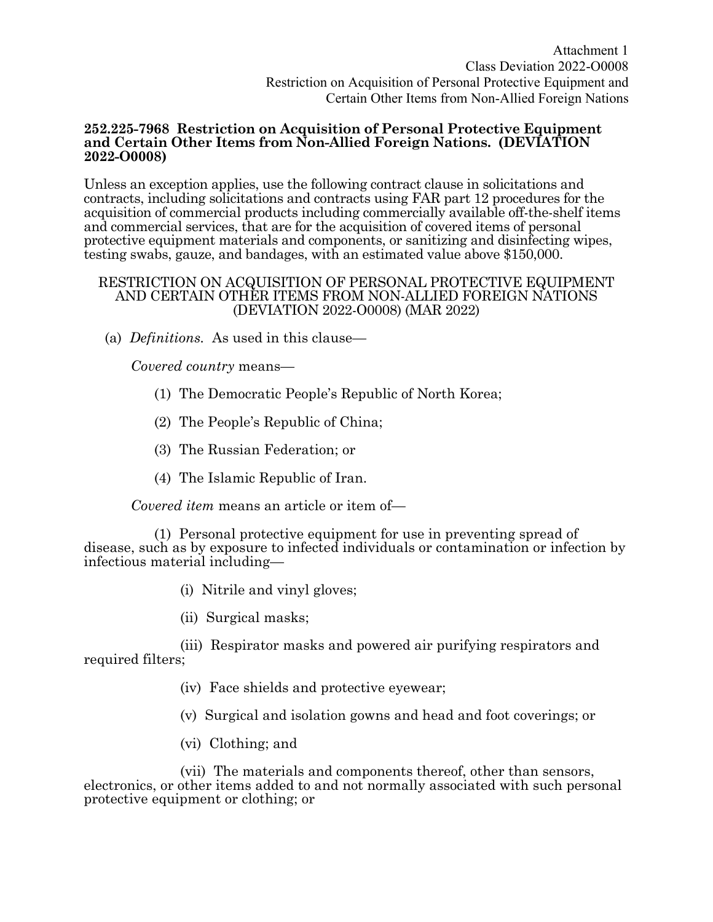## **252.225-7968 Restriction on Acquisition of Personal Protective Equipment and Certain Other Items from Non-Allied Foreign Nations. (DEVIATION 2022-O0008)**

Unless an exception applies, use the following contract clause in solicitations and contracts, including solicitations and contracts using FAR part 12 procedures for the acquisition of commercial products including commercially available off-the-shelf items and commercial services, that are for the acquisition of covered items of personal protective equipment materials and components, or sanitizing and disinfecting wipes, testing swabs, gauze, and bandages, with an estimated value above \$150,000.

## RESTRICTION ON ACQUISITION OF PERSONAL PROTECTIVE EQUIPMENT AND CERTAIN OTHER ITEMS FROM NON-ALLIED FOREIGN NATIONS (DEVIATION 2022-O0008) (MAR 2022)

(a) *Definitions.* As used in this clause—

*Covered country* means—

- (1) The Democratic People's Republic of North Korea;
- (2) The People's Republic of China;
- (3) The Russian Federation; or
- (4) The Islamic Republic of Iran.

*Covered item* means an article or item of—

 (1) Personal protective equipment for use in preventing spread of disease, such as by exposure to infected individuals or contamination or infection by infectious material including—

- (i) Nitrile and vinyl gloves;
- (ii) Surgical masks;

 (iii) Respirator masks and powered air purifying respirators and required filters;

- (iv) Face shields and protective eyewear;
- (v) Surgical and isolation gowns and head and foot coverings; or
- (vi) Clothing; and

 (vii) The materials and components thereof, other than sensors, electronics, or other items added to and not normally associated with such personal protective equipment or clothing; or